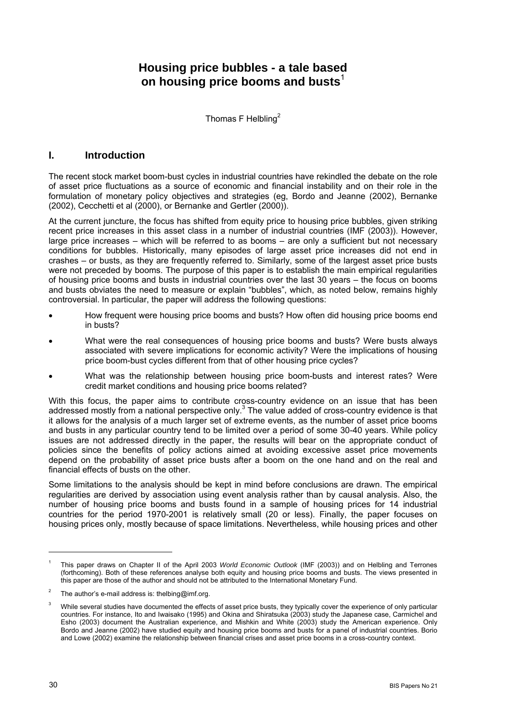# **Housing price bubbles - a tale based on housing price booms and busts**

Thomas F Helbling<sup>[2](#page-0-1)</sup>

## **I. Introduction**

The recent stock market boom-bust cycles in industrial countries have rekindled the debate on the role of asset price fluctuations as a source of economic and financial instability and on their role in the formulation of monetary policy objectives and strategies (eg, Bordo and Jeanne (2002), Bernanke (2002), Cecchetti et al (2000), or Bernanke and Gertler (2000)).

At the current juncture, the focus has shifted from equity price to housing price bubbles, given striking recent price increases in this asset class in a number of industrial countries (IMF (2003)). However, large price increases – which will be referred to as booms – are only a sufficient but not necessary conditions for bubbles. Historically, many episodes of large asset price increases did not end in crashes – or busts, as they are frequently referred to. Similarly, some of the largest asset price busts were not preceded by booms. The purpose of this paper is to establish the main empirical regularities of housing price booms and busts in industrial countries over the last 30 years – the focus on booms and busts obviates the need to measure or explain "bubbles", which, as noted below, remains highly controversial. In particular, the paper will address the following questions:

- How frequent were housing price booms and busts? How often did housing price booms end in busts?
- What were the real consequences of housing price booms and busts? Were busts always associated with severe implications for economic activity? Were the implications of housing price boom-bust cycles different from that of other housing price cycles?
- What was the relationship between housing price boom-busts and interest rates? Were credit market conditions and housing price booms related?

With this focus, the paper aims to contribute cross-country evidence on an issue that has been addressed mostly from a national perspective only. $3$  The value added of cross-country evidence is that it allows for the analysis of a much larger set of extreme events, as the number of asset price booms and busts in any particular country tend to be limited over a period of some 30-40 years. While policy issues are not addressed directly in the paper, the results will bear on the appropriate conduct of policies since the benefits of policy actions aimed at avoiding excessive asset price movements depend on the probability of asset price busts after a boom on the one hand and on the real and financial effects of busts on the other.

Some limitations to the analysis should be kept in mind before conclusions are drawn. The empirical regularities are derived by association using event analysis rather than by causal analysis. Also, the number of housing price booms and busts found in a sample of housing prices for 14 industrial countries for the period 1970-2001 is relatively small (20 or less). Finally, the paper focuses on housing prices only, mostly because of space limitations. Nevertheless, while housing prices and other

<span id="page-0-0"></span><sup>1</sup> This paper draws on Chapter II of the April 2003 *World Economic Outlook* (IMF (2003)) and on Helbling and Terrones (forthcoming). Both of these references analyse both equity and housing price booms and busts. The views presented in this paper are those of the author and should not be attributed to the International Monetary Fund.

<span id="page-0-1"></span>The author's e-mail address is: thelbing@imf.org.

<span id="page-0-2"></span>While several studies have documented the effects of asset price busts, they typically cover the experience of only particular countries. For instance, Ito and Iwaisako (1995) and Okina and Shiratsuka (2003) study the Japanese case, Carmichel and Esho (2003) document the Australian experience, and Mishkin and White (2003) study the American experience. Only Bordo and Jeanne (2002) have studied equity and housing price booms and busts for a panel of industrial countries. Borio and Lowe (2002) examine the relationship between financial crises and asset price booms in a cross-country context.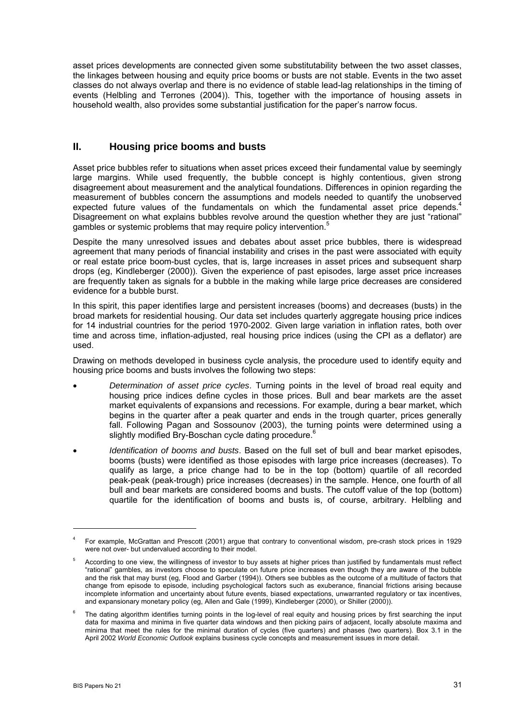asset prices developments are connected given some substitutability between the two asset classes, the linkages between housing and equity price booms or busts are not stable. Events in the two asset classes do not always overlap and there is no evidence of stable lead-lag relationships in the timing of events (Helbling and Terrones (2004)). This, together with the importance of housing assets in household wealth, also provides some substantial justification for the paper's narrow focus.

## **II. Housing price booms and busts**

Asset price bubbles refer to situations when asset prices exceed their fundamental value by seemingly large margins. While used frequently, the bubble concept is highly contentious, given strong disagreement about measurement and the analytical foundations. Differences in opinion regarding the measurement of bubbles concern the assumptions and models needed to quantify the unobserved expected future values of the fundamentals on which the fundamental asset price depends.<sup>[4](#page-1-0)</sup> Disagreement on what explains bubbles revolve around the question whether they are just "rational" gambles or systemic problems that may require policy intervention.<sup>[5](#page-1-1)</sup>

Despite the many unresolved issues and debates about asset price bubbles, there is widespread agreement that many periods of financial instability and crises in the past were associated with equity or real estate price boom-bust cycles, that is, large increases in asset prices and subsequent sharp drops (eg, Kindleberger (2000)). Given the experience of past episodes, large asset price increases are frequently taken as signals for a bubble in the making while large price decreases are considered evidence for a bubble burst.

In this spirit, this paper identifies large and persistent increases (booms) and decreases (busts) in the broad markets for residential housing. Our data set includes quarterly aggregate housing price indices for 14 industrial countries for the period 1970-2002. Given large variation in inflation rates, both over time and across time, inflation-adjusted, real housing price indices (using the CPI as a deflator) are used.

Drawing on methods developed in business cycle analysis, the procedure used to identify equity and housing price booms and busts involves the following two steps:

- *Determination of asset price cycles*. Turning points in the level of broad real equity and housing price indices define cycles in those prices. Bull and bear markets are the asset market equivalents of expansions and recessions. For example, during a bear market, which begins in the quarter after a peak quarter and ends in the trough quarter, prices generally fall. Following Pagan and Sossounov (2003), the turning points were determined using a slightly modified Bry-Boschan cycle dating procedure.<sup>[6](#page-1-2)</sup>
- *Identification of booms and busts*. Based on the full set of bull and bear market episodes, booms (busts) were identified as those episodes with large price increases (decreases). To qualify as large, a price change had to be in the top (bottom) quartile of all recorded peak-peak (peak-trough) price increases (decreases) in the sample. Hence, one fourth of all bull and bear markets are considered booms and busts. The cutoff value of the top (bottom) quartile for the identification of booms and busts is, of course, arbitrary. Helbling and

 $\overline{a}$ 

<span id="page-1-0"></span><sup>4</sup> For example, McGrattan and Prescott (2001) argue that contrary to conventional wisdom, pre-crash stock prices in 1929 were not over- but undervalued according to their model.

<span id="page-1-1"></span><sup>&</sup>lt;sup>5</sup> According to one view, the willingness of investor to buy assets at higher prices than justified by fundamentals must reflect "rational" gambles, as investors choose to speculate on future price increases even though they are aware of the bubble and the risk that may burst (eg, Flood and Garber (1994)). Others see bubbles as the outcome of a multitude of factors that change from episode to episode, including psychological factors such as exuberance, financial frictions arising because incomplete information and uncertainty about future events, biased expectations, unwarranted regulatory or tax incentives, and expansionary monetary policy (eg, Allen and Gale (1999), Kindleberger (2000), or Shiller (2000)).

<span id="page-1-2"></span>The dating algorithm identifies turning points in the log-level of real equity and housing prices by first searching the input data for maxima and minima in five quarter data windows and then picking pairs of adjacent, locally absolute maxima and minima that meet the rules for the minimal duration of cycles (five quarters) and phases (two quarters). Box 3.1 in the April 2002 *World Economic Outlook* explains business cycle concepts and measurement issues in more detail.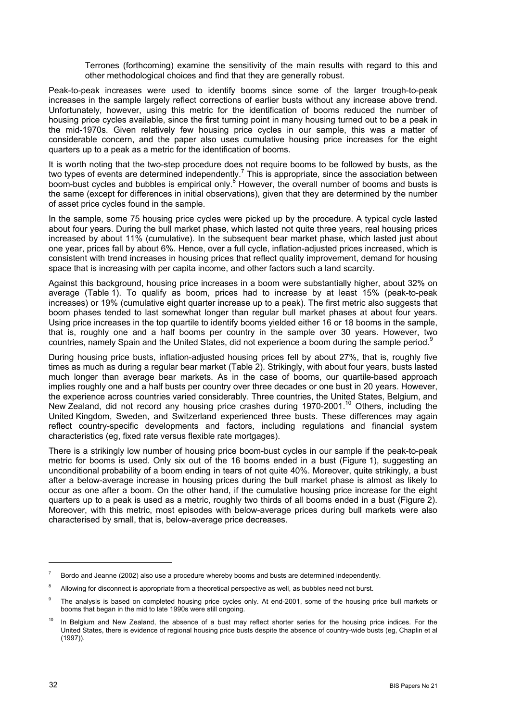Terrones (forthcoming) examine the sensitivity of the main results with regard to this and other methodological choices and find that they are generally robust.

Peak-to-peak increases were used to identify booms since some of the larger trough-to-peak increases in the sample largely reflect corrections of earlier busts without any increase above trend. Unfortunately, however, using this metric for the identification of booms reduced the number of housing price cycles available, since the first turning point in many housing turned out to be a peak in the mid-1970s. Given relatively few housing price cycles in our sample, this was a matter of considerable concern, and the paper also uses cumulative housing price increases for the eight quarters up to a peak as a metric for the identification of booms.

It is worth noting that the two-step procedure does not require booms to be followed by busts, as the two types of events are determined independently.<sup>[7](#page-2-0)</sup> This is appropriate, since the association between boom-bustcycles and bubbles is empirical only.<sup>8</sup> However, the overall number of booms and busts is the same (except for differences in initial observations), given that they are determined by the number of asset price cycles found in the sample.

In the sample, some 75 housing price cycles were picked up by the procedure. A typical cycle lasted about four years. During the bull market phase, which lasted not quite three years, real housing prices increased by about 11% (cumulative). In the subsequent bear market phase, which lasted just about one year, prices fall by about 6%. Hence, over a full cycle, inflation-adjusted prices increased, which is consistent with trend increases in housing prices that reflect quality improvement, demand for housing space that is increasing with per capita income, and other factors such a land scarcity.

Against this background, housing price increases in a boom were substantially higher, about 32% on average (Table 1). To qualify as boom, prices had to increase by at least 15% (peak-to-peak increases) or 19% (cumulative eight quarter increase up to a peak). The first metric also suggests that boom phases tended to last somewhat longer than regular bull market phases at about four years. Using price increases in the top quartile to identify booms yielded either 16 or 18 booms in the sample, that is, roughly one and a half booms per country in the sample over 30 years. However, two countries, namely Spain and the United States, did not experience a boom during the sample period.<sup>[9](#page-2-2)</sup>

During housing price busts, inflation-adjusted housing prices fell by about 27%, that is, roughly five times as much as during a regular bear market (Table 2). Strikingly, with about four years, busts lasted much longer than average bear markets. As in the case of booms, our quartile-based approach implies roughly one and a half busts per country over three decades or one bust in 20 years. However, the experience across countries varied considerably. Three countries, the United States, Belgium, and New Zealand, did not record any housing price crashes during 1970-2001.<sup>10</sup> Others, including the United Kingdom, Sweden, and Switzerland experienced three busts. These differences may again reflect country-specific developments and factors, including regulations and financial system characteristics (eg, fixed rate versus flexible rate mortgages).

There is a strikingly low number of housing price boom-bust cycles in our sample if the peak-to-peak metric for booms is used. Only six out of the 16 booms ended in a bust (Figure 1), suggesting an unconditional probability of a boom ending in tears of not quite 40%. Moreover, quite strikingly, a bust after a below-average increase in housing prices during the bull market phase is almost as likely to occur as one after a boom. On the other hand, if the cumulative housing price increase for the eight quarters up to a peak is used as a metric, roughly two thirds of all booms ended in a bust (Figure 2). Moreover, with this metric, most episodes with below-average prices during bull markets were also characterised by small, that is, below-average price decreases.

<span id="page-2-0"></span> $7$  Bordo and Jeanne (2002) also use a procedure whereby booms and busts are determined independently.

<span id="page-2-1"></span><sup>&</sup>lt;sup>8</sup> Allowing for disconnect is appropriate from a theoretical perspective as well, as bubbles need not burst.

<span id="page-2-2"></span>The analysis is based on completed housing price cycles only. At end-2001, some of the housing price bull markets or booms that began in the mid to late 1990s were still ongoing.

<span id="page-2-3"></span>In Belgium and New Zealand, the absence of a bust may reflect shorter series for the housing price indices. For the United States, there is evidence of regional housing price busts despite the absence of country-wide busts (eg, Chaplin et al (1997)).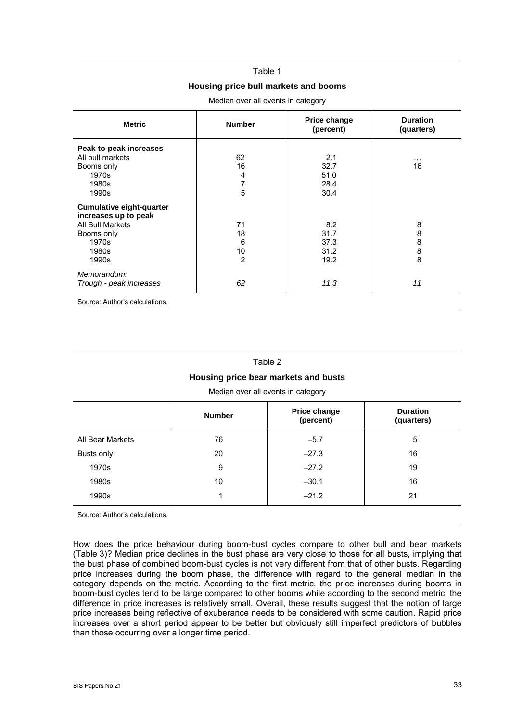#### Table 1

### **Housing price bull markets and booms**

| <b>Metric</b>                                           | <b>Number</b>  | Price change<br>(percent) | <b>Duration</b><br>(quarters) |
|---------------------------------------------------------|----------------|---------------------------|-------------------------------|
| Peak-to-peak increases                                  |                |                           |                               |
| All bull markets                                        | 62             | 2.1                       | $\cdots$                      |
| Booms only                                              | 16             | 32.7                      | 16                            |
| 1970s                                                   | 4              | 51.0                      |                               |
| 1980s                                                   | 7              | 28.4                      |                               |
| 1990s                                                   | 5              | 30.4                      |                               |
| <b>Cumulative eight-quarter</b><br>increases up to peak |                |                           |                               |
| All Bull Markets                                        | 71             | 8.2                       | 8                             |
| Booms only                                              | 18             | 31.7                      | 8                             |
| 1970s                                                   | 6              | 37.3                      | 8                             |
| 1980s                                                   | 10             | 31.2                      | 8                             |
| 1990s                                                   | $\overline{2}$ | 19.2                      | 8                             |
| Memorandum:                                             |                |                           |                               |
| Trough - peak increases                                 | 62             | 11.3                      | 11                            |
| Source: Author's calculations.                          |                |                           |                               |

Median over all events in category

#### Table 2

#### **Housing price bear markets and busts**

Median over all events in category

|                                | <b>Number</b> | Price change<br>(percent) | <b>Duration</b><br>(quarters) |
|--------------------------------|---------------|---------------------------|-------------------------------|
| All Bear Markets               | 76            | $-5.7$                    | 5                             |
| Busts only                     | 20            | $-27.3$                   | 16                            |
| 1970s                          | 9             | $-27.2$                   | 19                            |
| 1980s                          | 10            | $-30.1$                   | 16                            |
| 1990s                          |               | $-21.2$                   | 21                            |
| Source: Author's calculations. |               |                           |                               |

How does the price behaviour during boom-bust cycles compare to other bull and bear markets (Table 3)? Median price declines in the bust phase are very close to those for all busts, implying that the bust phase of combined boom-bust cycles is not very different from that of other busts. Regarding price increases during the boom phase, the difference with regard to the general median in the category depends on the metric. According to the first metric, the price increases during booms in boom-bust cycles tend to be large compared to other booms while according to the second metric, the difference in price increases is relatively small. Overall, these results suggest that the notion of large price increases being reflective of exuberance needs to be considered with some caution. Rapid price increases over a short period appear to be better but obviously still imperfect predictors of bubbles than those occurring over a longer time period.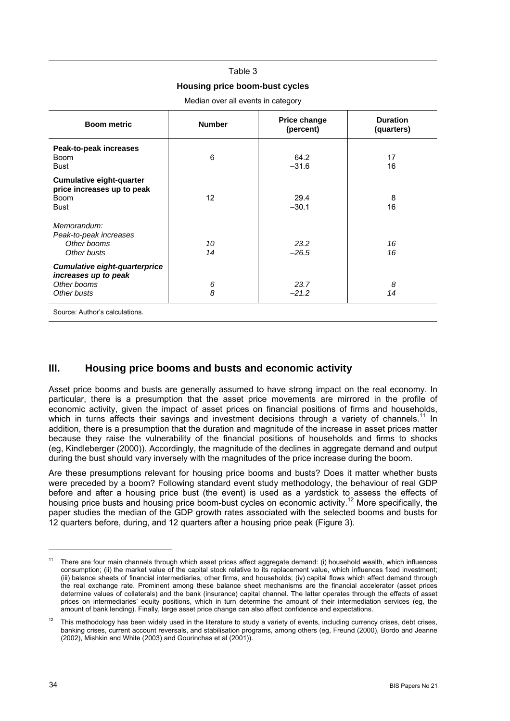### Table 3

### **Housing price boom-bust cycles**

Median over all events in category

| <b>Boom metric</b>                                                                          | <b>Number</b> | <b>Price change</b><br>(percent) | <b>Duration</b><br>(quarters) |
|---------------------------------------------------------------------------------------------|---------------|----------------------------------|-------------------------------|
| Peak-to-peak increases<br><b>Boom</b><br><b>Bust</b>                                        | 6             | 64.2<br>$-31.6$                  | 17<br>16                      |
| <b>Cumulative eight-quarter</b><br>price increases up to peak<br><b>Boom</b><br><b>Bust</b> | 12            | 29.4<br>$-30.1$                  | 8<br>16                       |
| Memorandum:<br>Peak-to-peak increases<br>Other booms<br>Other busts                         | 10<br>14      | 23.2<br>$-26.5$                  | 16<br>16                      |
| <b>Cumulative eight-quarterprice</b><br>increases up to peak<br>Other booms<br>Other busts  | 6<br>8        | 23.7<br>$-21.2$                  | 8<br>14                       |
| Causes Authoria coloulations                                                                |               |                                  |                               |

Source: Author's calculations.

## **III. Housing price booms and busts and economic activity**

Asset price booms and busts are generally assumed to have strong impact on the real economy. In particular, there is a presumption that the asset price movements are mirrored in the profile of economic activity, given the impact of asset prices on financial positions of firms and households. which in turns affects their savings and investment decisions through a variety of channels.<sup>11</sup> In addition, there is a presumption that the duration and magnitude of the increase in asset prices matter because they raise the vulnerability of the financial positions of households and firms to shocks (eg, Kindleberger (2000)). Accordingly, the magnitude of the declines in aggregate demand and output during the bust should vary inversely with the magnitudes of the price increase during the boom.

Are these presumptions relevant for housing price booms and busts? Does it matter whether busts were preceded by a boom? Following standard event study methodology, the behaviour of real GDP before and after a housing price bust (the event) is used as a yardstick to assess the effects of housing price busts and housing price boom-bust cycles on economic activity.<sup>12</sup> More specifically, the paper studies the median of the GDP growth rates associated with the selected booms and busts for 12 quarters before, during, and 12 quarters after a housing price peak (Figure 3).

<span id="page-4-0"></span><sup>11</sup> There are four main channels through which asset prices affect aggregate demand: (i) household wealth, which influences consumption; (ii) the market value of the capital stock relative to its replacement value, which influences fixed investment; (iii) balance sheets of financial intermediaries, other firms, and households; (iv) capital flows which affect demand through the real exchange rate. Prominent among these balance sheet mechanisms are the financial accelerator (asset prices determine values of collaterals) and the bank (insurance) capital channel. The latter operates through the effects of asset prices on intermediaries' equity positions, which in turn determine the amount of their intermediation services (eg, the amount of bank lending). Finally, large asset price change can also affect confidence and expectations.

<span id="page-4-1"></span>This methodology has been widely used in the literature to study a variety of events, including currency crises, debt crises, banking crises, current account reversals, and stabilisation programs, among others (eg, Freund (2000), Bordo and Jeanne (2002), Mishkin and White (2003) and Gourinchas et al (2001)).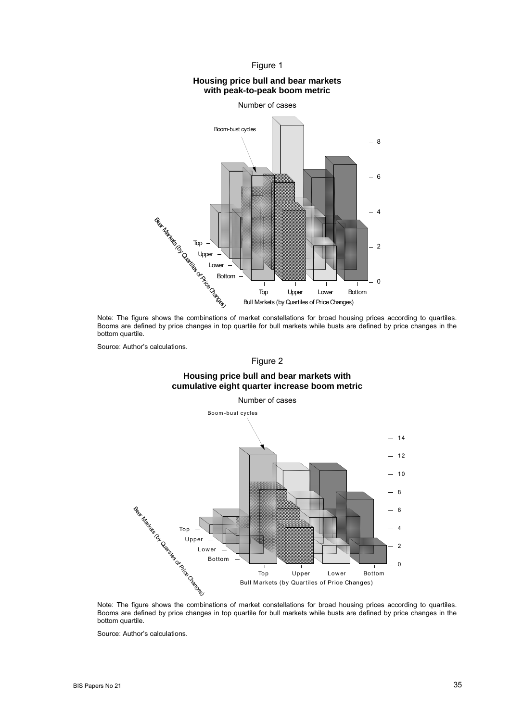

### **Housing price bull and bear markets with peak-to-peak boom metric**



Note: The figure shows the combinations of market constellations for broad housing prices according to quartiles. Booms are defined by price changes in top quartile for bull markets while busts are defined by price changes in the bottom quartile.

Source: Author's calculations.

Figure 2

### **Housing price bull and bear markets with cumulative eight quarter increase boom metric**



Note: The figure shows the combinations of market constellations for broad housing prices according to quartiles. Booms are defined by price changes in top quartile for bull markets while busts are defined by price changes in the bottom quartile.

Source: Author's calculations.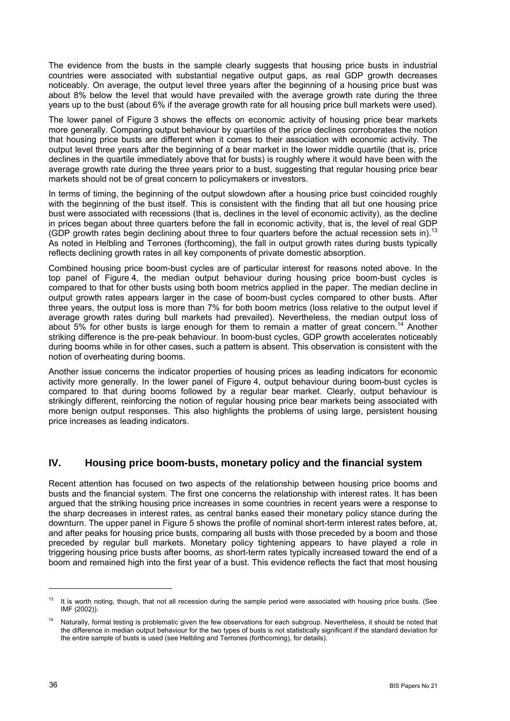The evidence from the busts in the sample clearly suggests that housing price busts in industrial countries were associated with substantial negative output gaps, as real GDP growth decreases noticeably. On average, the output level three years after the beginning of a housing price bust was about 8% below the level that would have prevailed with the average growth rate during the three years up to the bust (about 6% if the average growth rate for all housing price bull markets were used).

The lower panel of Figure 3 shows the effects on economic activity of housing price bear markets more generally. Comparing output behaviour by quartiles of the price declines corroborates the notion that housing price busts are different when it comes to their association with economic activity. The output level three years after the beginning of a bear market in the lower middle quartile (that is, price declines in the quartile immediately above that for busts) is roughly where it would have been with the average growth rate during the three years prior to a bust, suggesting that regular housing price bear markets should not be of great concern to policymakers or investors.

In terms of timing, the beginning of the output slowdown after a housing price bust coincided roughly with the beginning of the bust itself. This is consistent with the finding that all but one housing price bust were associated with recessions (that is, declines in the level of economic activity), as the decline in prices began about three quarters before the fall in economic activity, that is, the level of real GDP (GDP growth rates begin declining about three to four quarters before the actual recession sets in).<sup>13</sup> As noted in Helbling and Terrones (forthcoming), the fall in output growth rates during busts typically reflects declining growth rates in all key components of private domestic absorption.

Combined housing price boom-bust cycles are of particular interest for reasons noted above. In the top panel of Figure 4, the median output behaviour during housing price boom-bust cycles is compared to that for other busts using both boom metrics applied in the paper. The median decline in output growth rates appears larger in the case of boom-bust cycles compared to other busts. After three years, the output loss is more than 7% for both boom metrics (loss relative to the output level if average growth rates during bull markets had prevailed). Nevertheless, the median output loss of about 5% for other busts is large enough for them to remain a matter of great concern.<sup>14</sup> Another striking difference is the pre-peak behaviour. In boom-bust cycles, GDP growth accelerates noticeably during booms while in for other cases, such a pattern is absent. This observation is consistent with the notion of overheating during booms.

Another issue concerns the indicator properties of housing prices as leading indicators for economic activity more generally. In the lower panel of Figure 4, output behaviour during boom-bust cycles is compared to that during booms followed by a regular bear market. Clearly, output behaviour is strikingly different, reinforcing the notion of regular housing price bear markets being associated with more benign output responses. This also highlights the problems of using large, persistent housing price increases as leading indicators.

## **IV. Housing price boom-busts, monetary policy and the financial system**

Recent attention has focused on two aspects of the relationship between housing price booms and busts and the financial system. The first one concerns the relationship with interest rates. It has been argued that the striking housing price increases in some countries in recent years were a response to the sharp decreases in interest rates, as central banks eased their monetary policy stance during the downturn. The upper panel in Figure 5 shows the profile of nominal short-term interest rates before, at, and after peaks for housing price busts, comparing all busts with those preceded by a boom and those preceded by regular bull markets. Monetary policy tightening appears to have played a role in triggering housing price busts after booms, *as* short-term rates typically increased toward the end of a boom and remained high into the first year of a bust. This evidence reflects the fact that most housing

<span id="page-6-0"></span><sup>&</sup>lt;sup>13</sup> It is worth noting, though, that not all recession during the sample period were associated with housing price busts. (See IMF (2002)).

<span id="page-6-1"></span><sup>14</sup> Naturally, formal testing is problematic given the few observations for each subgroup. Nevertheless, it should be noted that the difference in median output behaviour for the two types of busts is not statistically significant if the standard deviation for the entire sample of busts is used (see Helbling and Terrones (forthcoming), for details).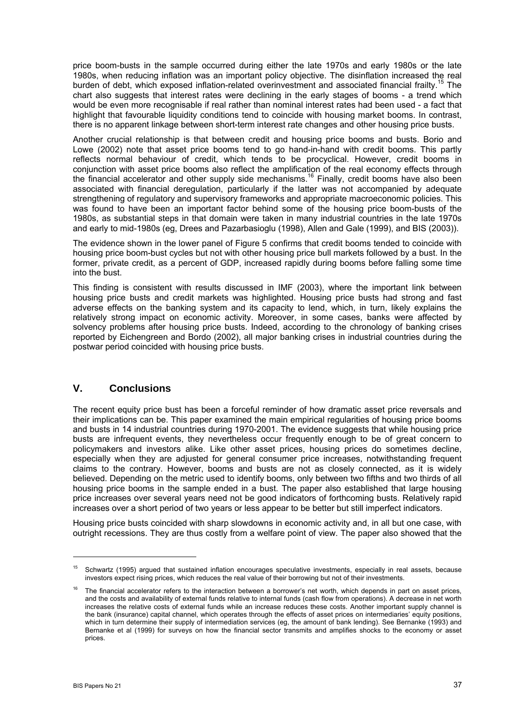price boom-busts in the sample occurred during either the late 1970s and early 1980s or the late 1980s, when reducing inflation was an important policy objective. The disinflation increased the real burden of debt, which exposed inflation-related overinvestment and associated financial frailty.<sup>15</sup> The chart also suggests that interest rates were declining in the early stages of booms - a trend which would be even more recognisable if real rather than nominal interest rates had been used - a fact that highlight that favourable liquidity conditions tend to coincide with housing market booms. In contrast, there is no apparent linkage between short-term interest rate changes and other housing price busts.

Another crucial relationship is that between credit and housing price booms and busts. Borio and Lowe (2002) note that asset price booms tend to go hand-in-hand with credit booms. This partly reflects normal behaviour of credit, which tends to be procyclical. However, credit booms in conjunction with asset price booms also reflect the amplification of the real economy effects through the financial accelerator and other supply side mechanisms.<sup>16</sup> Finally, credit booms have also been associated with financial deregulation, particularly if the latter was not accompanied by adequate strengthening of regulatory and supervisory frameworks and appropriate macroeconomic policies. This was found to have been an important factor behind some of the housing price boom-busts of the 1980s, as substantial steps in that domain were taken in many industrial countries in the late 1970s and early to mid-1980s (eg, Drees and Pazarbasioglu (1998), Allen and Gale (1999), and BIS (2003)).

The evidence shown in the lower panel of Figure 5 confirms that credit booms tended to coincide with housing price boom-bust cycles but not with other housing price bull markets followed by a bust. In the former, private credit, as a percent of GDP, increased rapidly during booms before falling some time into the bust.

This finding is consistent with results discussed in IMF (2003), where the important link between housing price busts and credit markets was highlighted. Housing price busts had strong and fast adverse effects on the banking system and its capacity to lend, which, in turn, likely explains the relatively strong impact on economic activity. Moreover, in some cases, banks were affected by solvency problems after housing price busts. Indeed, according to the chronology of banking crises reported by Eichengreen and Bordo (2002), all major banking crises in industrial countries during the postwar period coincided with housing price busts.

## **V. Conclusions**

The recent equity price bust has been a forceful reminder of how dramatic asset price reversals and their implications can be. This paper examined the main empirical regularities of housing price booms and busts in 14 industrial countries during 1970-2001. The evidence suggests that while housing price busts are infrequent events, they nevertheless occur frequently enough to be of great concern to policymakers and investors alike. Like other asset prices, housing prices do sometimes decline, especially when they are adjusted for general consumer price increases, notwithstanding frequent claims to the contrary. However, booms and busts are not as closely connected, as it is widely believed. Depending on the metric used to identify booms, only between two fifths and two thirds of all housing price booms in the sample ended in a bust. The paper also established that large housing price increases over several years need not be good indicators of forthcoming busts. Relatively rapid increases over a short period of two years or less appear to be better but still imperfect indicators.

Housing price busts coincided with sharp slowdowns in economic activity and, in all but one case, with outright recessions. They are thus costly from a welfare point of view. The paper also showed that the

<span id="page-7-0"></span><sup>&</sup>lt;sup>15</sup> Schwartz (1995) argued that sustained inflation encourages speculative investments, especially in real assets, because investors expect rising prices, which reduces the real value of their borrowing but not of their investments.

<span id="page-7-1"></span><sup>16</sup> The financial accelerator refers to the interaction between a borrower's net worth, which depends in part on asset prices, and the costs and availability of external funds relative to internal funds (cash flow from operations). A decrease in net worth increases the relative costs of external funds while an increase reduces these costs. Another important supply channel is the bank (insurance) capital channel, which operates through the effects of asset prices on intermediaries' equity positions, which in turn determine their supply of intermediation services (eg, the amount of bank lending). See Bernanke (1993) and Bernanke et al (1999) for surveys on how the financial sector transmits and amplifies shocks to the economy or asset prices.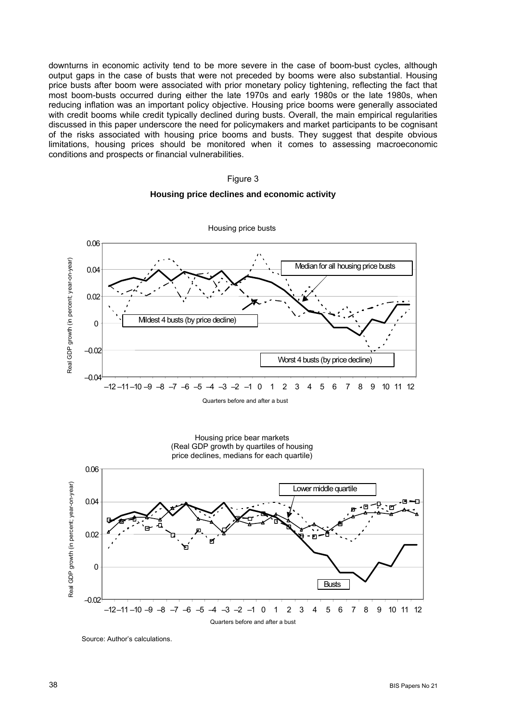downturns in economic activity tend to be more severe in the case of boom-bust cycles, although output gaps in the case of busts that were not preceded by booms were also substantial. Housing price busts after boom were associated with prior monetary policy tightening, reflecting the fact that most boom-busts occurred during either the late 1970s and early 1980s or the late 1980s, when reducing inflation was an important policy objective. Housing price booms were generally associated with credit booms while credit typically declined during busts. Overall, the main empirical regularities discussed in this paper underscore the need for policymakers and market participants to be cognisant of the risks associated with housing price booms and busts. They suggest that despite obvious limitations, housing prices should be monitored when it comes to assessing macroeconomic conditions and prospects or financial vulnerabilities.

#### Figure 3

#### **Housing price declines and economic activity**



Housing price bear markets (Real GDP growth by quartiles of housing price declines, medians for each quartile)



Source: Author's calculations.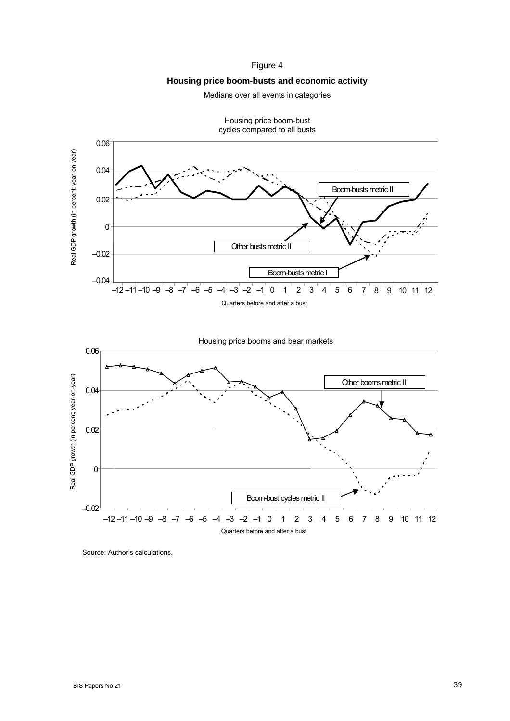### Figure 4

### **Housing price boom-busts and economic activity**

Medians over all events in categories



Quarters before and after a bust

Housing price boom-bust

Source: Author's calculations.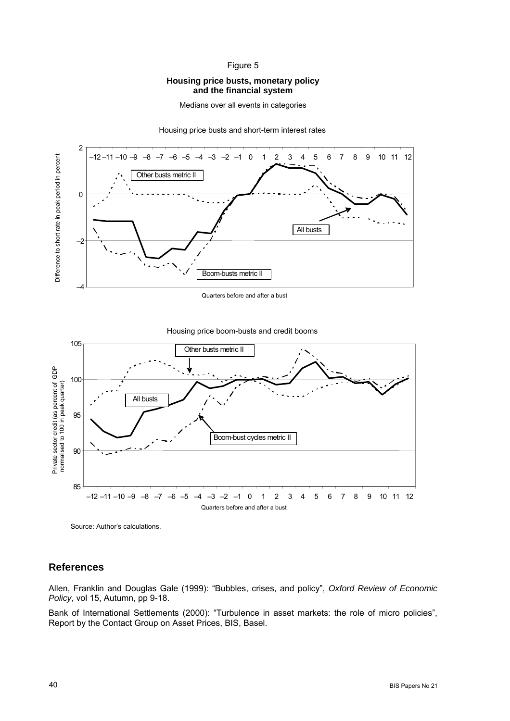#### Figure 5

### **Housing price busts, monetary policy and the financial system**

Medians over all events in categories

Housing price busts and short-term interest rates



Quarters before and after a bust





Source: Author's calculations.

## **References**

Allen, Franklin and Douglas Gale (1999): "Bubbles, crises, and policy", *Oxford Review of Economic Policy*, vol 15, Autumn, pp 9-18.

Bank of International Settlements (2000): "Turbulence in asset markets: the role of micro policies", Report by the Contact Group on Asset Prices, BIS, Basel.